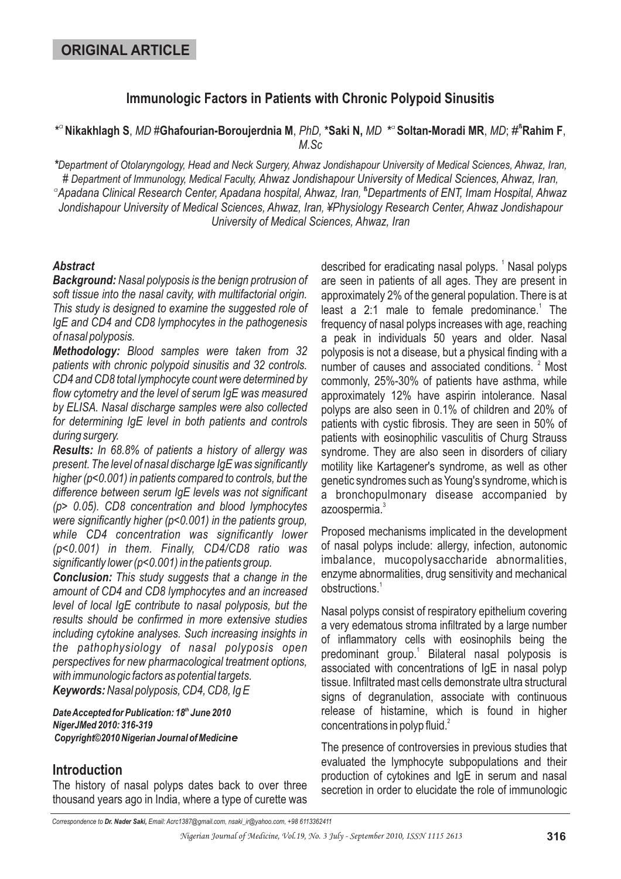## **Immunologic Factors in Patients with Chronic Polypoid Sinusitis**

\*<sup>a</sup> Nikakhlagh S, *MD* #Ghafourian-Boroujerdnia M, *PhD,* \*Saki N, *MD* \*° Soltan-Moradi MR, *MD*; #<sup>&</sup>Rahim F, *M.Sc*

 $^\circ$ Apadana Clinical Research Center, Apadana hospital, Ahwaz, Iran,  $^\circ$ Departments of ENT, Imam Hospital, Ahwaz *# Ahwaz Jondishapour University of Medical Sciences, Ahwaz, Iran Department of Immunology, Medical Faculty, ,* Jondishapour University of Medical Sciences, Ahwaz, Iran, ¥Physiology Research Center, Ahwaz Jondishapour *University of Medical Sciences, Ahwaz, Iran \*Department of Otolaryngology, Head and Neck Surgery, Ahwaz Jondishapour University of Medical Sciences, Ahwaz, Iran,*

#### *Abstract*

*Background: Nasal polyposis is the benign protrusion of soft tissue into the nasal cavity, with multifactorial origin. This study is designed to examine the suggested role of IgE and CD4 and CD8 lymphocytes in the pathogenesis of nasal polyposis.*

*Methodology: Blood samples were taken from 32 patients with chronic polypoid sinusitis and 32 controls. CD4 and CD8 total lymphocyte count were determined by flow cytometry and the level of serum IgE was measured by ELISA. Nasal discharge samples were also collected for determining IgE level in both patients and controls during surgery.*

*Results: In 68.8% of patients a history of allergy was present. The level of nasal discharge IgE was significantly higher (p<0.001) in patients compared to controls, but the difference between serum IgE levels was not significant (p> 0.05). CD8 concentration and blood lymphocytes were significantly higher (p<0.001) in the patients group, while CD4 concentration was significantly lower (p<0.001) in them. Finally, CD4/CD8 ratio was significantly lower (p<0.001) in the patients group.*

*Conclusion: This study suggests that a change in the Keywords: Nasal polyposis, CD4, CD8, Ig E amount of CD4 and CD8 lymphocytes and an increased level of local IgE contribute to nasal polyposis, but the results should be confirmed in more extensive studies including cytokine analyses. Such increasing insights in the pathophysiology of nasal polyposis open perspectives for new pharmacological treatment options, with immunologic factors as potential targets.*

*DateAccepted for Publication: 18 June 2010 th NigerJMed 2010: 316-319 Copyright©2010 Nigerian Journal of Medici ne*

#### **Introduction**

The history of nasal polyps dates back to over three thousand years ago in India, where a type of curette was

described for eradicating nasal polyps.<sup>1</sup> Nasal polyps are seen in patients of all ages. They are present in approximately 2% of the general population. There is at least a 2:1 male to female predominance.<sup>1</sup> The frequency of nasal polyps increases with age, reaching a peak in individuals 50 years and older. Nasal polyposis is not a disease, but a physical finding with a number of causes and associated conditions.<sup>2</sup> Most commonly, 25%-30% of patients have asthma, while approximately 12% have aspirin intolerance. Nasal polyps are also seen in 0.1% of children and 20% of patients with cystic fibrosis. They are seen in 50% of patients with eosinophilic vasculitis of Churg Strauss syndrome. They are also seen in disorders of ciliary motility like Kartagener's syndrome, as well as other genetic syndromes such as Young's syndrome, which is a bronchopulmonary disease accompanied by azoospermia. 3

Proposed mechanisms implicated in the development of nasal polyps include: allergy, infection, autonomic imbalance, mucopolysaccharide abnormalities, enzyme abnormalities, drug sensitivity and mechanical obstructions. 1

Nasal polyps consist of respiratory epithelium covering a very edematous stroma infiltrated by a large number of inflammatory cells with eosinophils being the predominant group.<sup>1</sup> Bilateral nasal polyposis is associated with concentrations of IgE in nasal polyp tissue. Infiltrated mast cells demonstrate ultra structural signs of degranulation, associate with continuous release of histamine, which is found in higher concentrations in polyp fluid.<sup>2</sup>

The presence of controversies in previous studies that evaluated the lymphocyte subpopulations and their production of cytokines and IgE in serum and nasal secretion in order to elucidate the role of immunologic

*Correspondence to Email: Acrc1387@gmail.com, nsaki\_ir@yahoo.com, +98 6113362411 Dr. Nader Saki,*

*Nigerian Journal of Medicine, Vol.19, No. 3 July - September 2010, ISSN 1115 2613* **316**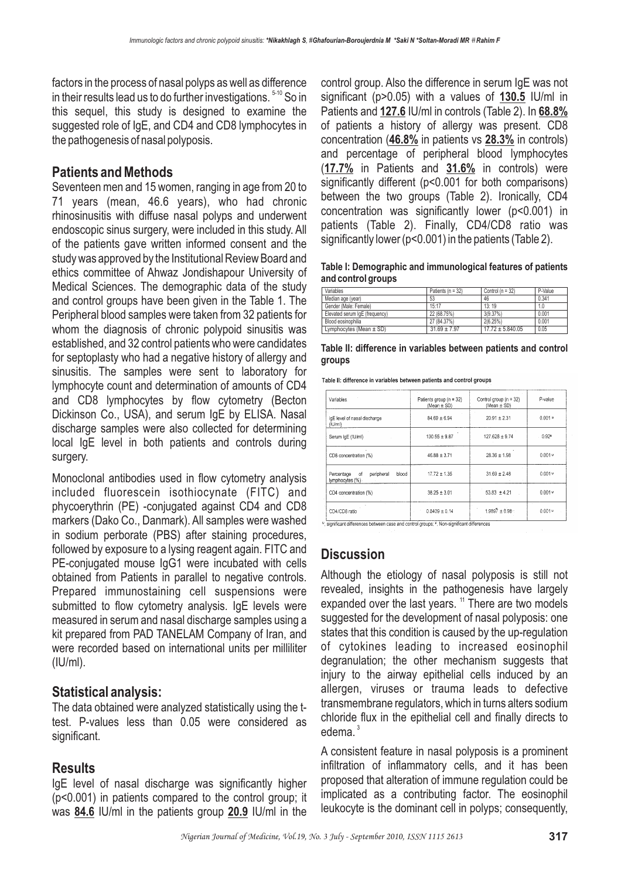factors in the process of nasal polyps as well as difference in their results lead us to do further investigations.  $5-10$  So in this sequel, this study is designed to examine the suggested role of IgE, and CD4 and CD8 lymphocytes in the pathogenesis of nasal polyposis.

## **Patients and Methods**

Seventeen men and 15 women, ranging in age from 20 to 71 years (mean, 46.6 years), who had chronic rhinosinusitis with diffuse nasal polyps and underwent endoscopic sinus surgery, were included in this study. All of the patients gave written informed consent and the study was approved by the Institutional Review Board and ethics committee of Ahwaz Jondishapour University of Medical Sciences. The demographic data of the study and control groups have been given in the Table 1. The Peripheral blood samples were taken from 32 patients for whom the diagnosis of chronic polypoid sinusitis was established, and 32 control patients who were candidates for septoplasty who had a negative history of allergy and sinusitis. The samples were sent to laboratory for lymphocyte count and determination of amounts of CD4 and CD8 lymphocytes by flow cytometry (Becton Dickinson Co., USA), and serum IgE by ELISA. Nasal discharge samples were also collected for determining local IgE level in both patients and controls during surgery.

Monoclonal antibodies used in flow cytometry analysis included fluorescein isothiocynate (FITC) and phycoerythrin (PE) -conjugated against CD4 and CD8 markers (Dako Co., Danmark). All samples were washed in sodium perborate (PBS) after staining procedures, followed by exposure to a lysing reagent again. FITC and PE-conjugated mouse IgG1 were incubated with cells obtained from Patients in parallel to negative controls. Prepared immunostaining cell suspensions were submitted to flow cytometry analysis. IgE levels were measured in serum and nasal discharge samples using a kit prepared from PAD TANELAM Company of Iran, and were recorded based on international units per milliliter (IU/ml).

### **Statistical analysis:**

The data obtained were analyzed statistically using the ttest. P-values less than 0.05 were considered as significant.

## **Results**

IgE level of nasal discharge was significantly higher (p<0.001) in patients compared to the control group; it was **84.6** IU/ml in the patients group **20.9** IU/ml in the

control group. Also the difference in serum IgE was not significant (p>0.05) with a values of **130.5** IU/ml in Patients and 127.6 IU/ml in controls (Table 2). In 68.8% of patients a history of allergy was present. CD8 concentration (46.8% in patients vs 28.3% in controls) and percentage of peripheral blood lymphocytes (17.7% in Patients and 31.6% in controls) were significantly different (p<0.001 for both comparisons) between the two groups (Table 2). Ironically, CD4 concentration was significantly lower (p<0.001) in patients (Table 2). Finally, CD4/CD8 ratio was significantly lower (p<0.001) in the patients (Table 2).

**Table I: Demographic and immunological features of patients and control groups**

| Variables                      | Patients $(n = 32)$ | Control $(n = 32)$   | P-Value |
|--------------------------------|---------------------|----------------------|---------|
| Median age (year)              | 53                  | 46                   | 0.341   |
| Gender (Male: Female)          | 15:17               | 13:19                | 1.0     |
| Elevated serum IqE (frequency) | 22 (68.75%)         | 3(9.37%)             | 0.001   |
| Blood eosinophilia             | 27 (84.37%)         | 2(6.25%)             | 0.001   |
| Lymphocytes (Mean ± SD)        | $31.69 \pm 7.97$    | $17.72 \pm 5.840.05$ | 0.05    |

**Table II: difference in variables between patients and control groups**

| Table II: difference in variables between patients and control groups |  |  |  |
|-----------------------------------------------------------------------|--|--|--|
|                                                                       |  |  |  |

| Variables.                                                  | Patients group ( $n = 32$ )<br>(Mean $\pm$ SD) | Control group (n = 32)<br>$(Mean \pm SD)$ | P-value   |  |
|-------------------------------------------------------------|------------------------------------------------|-------------------------------------------|-----------|--|
| IqE level of nasal discharge<br>(IU/ml)                     | $84.69 \pm 6.94$                               | $20.91 \pm 2.31$                          | 0.001.    |  |
| Serum IgE (!U/ml)                                           | $130.55 \pm 9.87$                              | $127.628 \pm 9.74$                        | $0.92*$   |  |
| CD8 concentration (%)                                       | $46.88 + 3.71$                                 | $28.36 \pm 1.98$                          | $0.001 +$ |  |
| blood<br>peripheral<br>σf<br>Percentage<br>lymphocytes (%). | $17.72 \pm 1.35$                               | $31.69 \pm 2.48$                          | $0.001 +$ |  |
| CD4 concentration (%)                                       | $38.25 \pm 3.01$                               | $53.83 \pm 4.21$                          | $0.001*$  |  |
| CD4/CD8 ratio                                               | $0.8409 \pm 0.14$                              | $1.9897 \pm 0.98$                         | $0.001 -$ |  |

v, significant differences between case and control groups; \*, Non-significant differences

# **Discussion**

Although the etiology of nasal polyposis is still not revealed, insights in the pathogenesis have largely expanded over the last years.  $11$  There are two models suggested for the development of nasal polyposis: one states that this condition is caused by the up-regulation of cytokines leading to increased eosinophil degranulation; the other mechanism suggests that injury to the airway epithelial cells induced by an allergen, viruses or trauma leads to defective transmembrane regulators, which in turns alters sodium chloride flux in the epithelial cell and finally directs to edema.<sup>3</sup>

A consistent feature in nasal polyposis is a prominent infiltration of inflammatory cells, and it has been proposed that alteration of immune regulation could be implicated as a contributing factor. The eosinophil leukocyte is the dominant cell in polyps; consequently,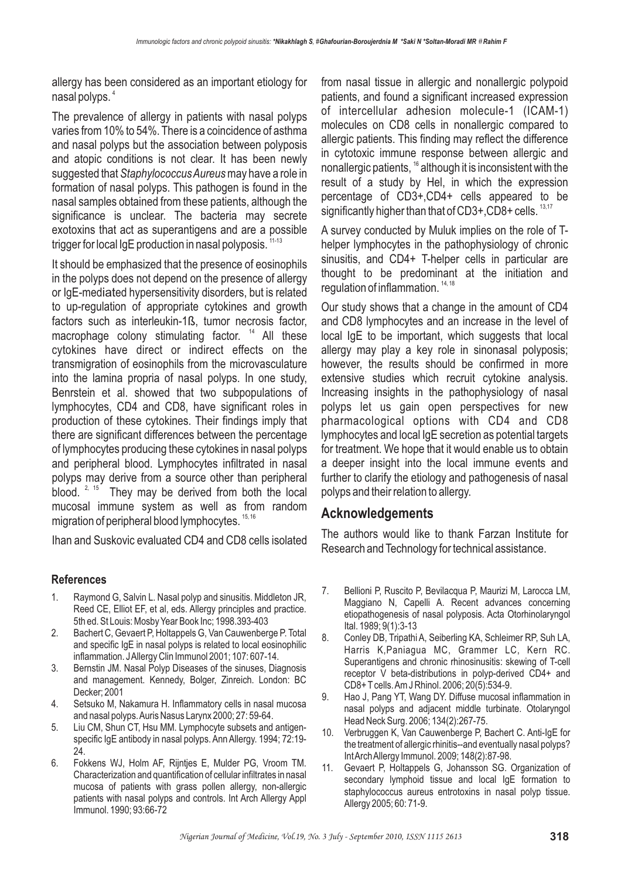allergy has been considered as an important etiology for nasal polyps. 4

The prevalence of allergy in patients with nasal polyps varies from 10% to 54%. There is a coincidence of asthma and nasal polyps but the association between polyposis and atopic conditions is not clear. It has been newly suggested that Staphylococcus Aureus may have a role in formation of nasal polyps. This pathogen is found in the nasal samples obtained from these patients, although the significance is unclear. The bacteria may secrete exotoxins that act as superantigens and are a possible trigger for local IgE production in nasal polyposis.  $^{\rm 11\text{-}13}$ 

It should be emphasized that the presence of eosinophils in the polyps does not depend on the presence of allergy or IgE-mediated hypersensitivity disorders, but is related to up-regulation of appropriate cytokines and growth factors such as interleukin-1ß, tumor necrosis factor, macrophage colony stimulating factor.  $14$  All these cytokines have direct or indirect effects on the transmigration of eosinophils from the microvasculature into the lamina propria of nasal polyps. In one study, Benrstein et al. showed that two subpopulations of lymphocytes, CD4 and CD8, have significant roles in production of these cytokines. Their findings imply that there are significant differences between the percentage of lymphocytes producing these cytokines in nasal polyps and peripheral blood. Lymphocytes infiltrated in nasal polyps may derive from a source other than peripheral blood.  $2, 15$  They may be derived from both the local mucosal immune system as well as from random migration of peripheral blood lymphocytes. <sup>15, 16</sup>

Ihan and Suskovic evaluated CD4 and CD8 cells isolated

### **References**

- 1. Raymond G, Salvin L. Nasal polyp and sinusitis. Middleton JR, Reed CE, Elliot EF, et al, eds. Allergy principles and practice. 5th ed. St Louis: Mosby Year Book Inc; 1998.393-403
- 2. Bachert C, Gevaert P, Holtappels G, Van Cauwenberge P. Total and specific IgE in nasal polyps is related to local eosinophilic inflammation. JAllergy Clin Immunol 2001; 107: 607-14.
- 3. Bernstin JM. Nasal Polyp Diseases of the sinuses, Diagnosis and management. Kennedy, Bolger, Zinreich. London: BC Decker; 2001
- 4. Setsuko M, Nakamura H. Inflammatory cells in nasal mucosa and nasal polyps.Auris Nasus Larynx 2000; 27: 59-64.
- 5. Liu CM, Shun CT, Hsu MM. Lymphocyte subsets and antigenspecific IgE antibody in nasal polyps. Ann Allergy. 1994; 72:19- 24.
- 6. Fokkens WJ, Holm AF, Rijntjes E, Mulder PG, Vroom TM. Characterization and quantification of cellular infiltrates in nasal mucosa of patients with grass pollen allergy, non-allergic patients with nasal polyps and controls. Int Arch Allergy Appl Immunol. 1990; 93:66-72

from nasal tissue in allergic and nonallergic polypoid patients, and found a significant increased expression of intercellular adhesion molecule-1 (ICAM-1) molecules on CD8 cells in nonallergic compared to allergic patients. This finding may reflect the difference in cytotoxic immune response between allergic and nonallergic patients,  $16$  although it is inconsistent with the result of a study by Hel, in which the expression percentage of CD3+,CD4+ cells appeared to be significantly higher than that of CD3+,CD8+ cells.  $13,17$ 

A survey conducted by Muluk implies on the role of Thelper lymphocytes in the pathophysiology of chronic sinusitis, and CD4+ T-helper cells in particular are thought to be predominant at the initiation and regulation of inflammation.<sup>14,18</sup>

Our study shows that a change in the amount of CD4 and CD8 lymphocytes and an increase in the level of local IgE to be important, which suggests that local allergy may play a key role in sinonasal polyposis; however, the results should be confirmed in more extensive studies which recruit cytokine analysis. Increasing insights in the pathophysiology of nasal polyps let us gain open perspectives for new pharmacological options with CD4 and CD8 lymphocytes and local IgE secretion as potential targets for treatment. We hope that it would enable us to obtain a deeper insight into the local immune events and further to clarify the etiology and pathogenesis of nasal polyps and their relation to allergy.

### **Acknowledgements**

The authors would like to thank Farzan Institute for Research and Technology for technical assistance.

- 7. Bellioni P, Ruscito P, Bevilacqua P, Maurizi M, Larocca LM, Maggiano N, Capelli A. Recent advances concerning etiopathogenesis of nasal polyposis. Acta Otorhinolaryngol Ital. 1989; 9(1):3-13
- 8. Conley DB, Tripathi A, Seiberling KA, Schleimer RP, Suh LA, Harris K,Paniagua MC, Grammer LC, Kern RC. Superantigens and chronic rhinosinusitis: skewing of T-cell receptor V beta-distributions in polyp-derived CD4+ and CD8+ T cells.Am J Rhinol. 2006; 20(5):534-9.
- 9. Hao J, Pang YT, Wang DY. Diffuse mucosal inflammation in nasal polyps and adjacent middle turbinate. Otolaryngol Head Neck Surg. 2006; 134(2):267-75.
- 10. Verbruggen K, Van Cauwenberge P, Bachert C. Anti-IgE for the treatment of allergic rhinitis--and eventually nasal polyps? IntArchAllergy Immunol. 2009; 148(2):87-98.
- 11. Gevaert P, Holtappels G, Johansson SG. Organization of secondary lymphoid tissue and local IgE formation to staphylococcus aureus entrotoxins in nasal polyp tissue. Allergy 2005; 60: 71-9.